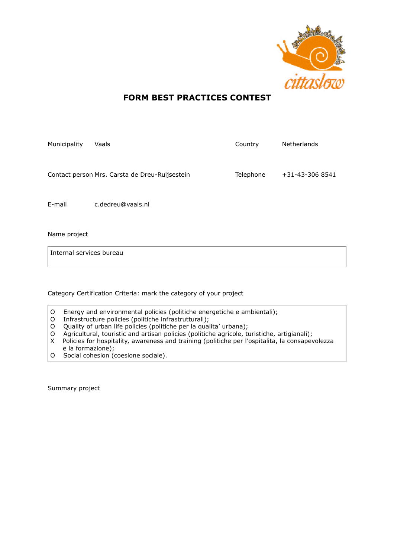

# **FORM BEST PRACTICES CONTEST**

| Municipality | Vaals                                          | Country   | <b>Netherlands</b> |
|--------------|------------------------------------------------|-----------|--------------------|
|              |                                                |           |                    |
|              | Contact person Mrs. Carsta de Dreu-Ruijsestein | Telephone | +31-43-306 8541    |
|              |                                                |           |                    |
| E-mail       | c.dedreu@vaals.nl                              |           |                    |
|              |                                                |           |                    |

Name project

Internal services bureau

Category Certification Criteria: mark the category of your project

- O Energy and environmental policies (politiche energetiche e ambientali);
- O Infrastructure policies (politiche infrastrutturali);
- O Quality of urban life policies (politiche per la qualita' urbana);
- O Agricultural, touristic and artisan policies (politiche agricole, turistiche, artigianali);
- X Policies for hospitality, awareness and training (politiche per l'ospitalita, la consapevolezza e la formazione);
- O Social cohesion (coesione sociale).

Summary project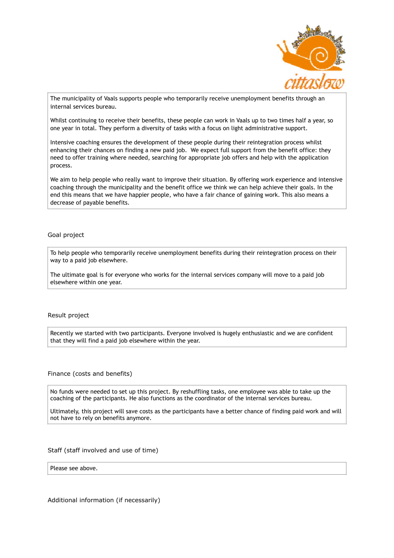

The municipality of Vaals supports people who temporarily receive unemployment benefits through an internal services bureau.

Whilst continuing to receive their benefits, these people can work in Vaals up to two times half a year, so one year in total. They perform a diversity of tasks with a focus on light administrative support.

Intensive coaching ensures the development of these people during their reintegration process whilst enhancing their chances on finding a new paid job. We expect full support from the benefit office: they need to offer training where needed, searching for appropriate job offers and help with the application process.

We aim to help people who really want to improve their situation. By offering work experience and intensive coaching through the municipality and the benefit office we think we can help achieve their goals. In the end this means that we have happier people, who have a fair chance of gaining work. This also means a decrease of payable benefits.

## Goal project

To help people who temporarily receive unemployment benefits during their reintegration process on their way to a paid job elsewhere.

The ultimate goal is for everyone who works for the internal services company will move to a paid job elsewhere within one year.

## Result project

Recently we started with two participants. Everyone involved is hugely enthusiastic and we are confident that they will find a paid job elsewhere within the year.

### Finance (costs and benefits)

No funds were needed to set up this project. By reshuffling tasks, one employee was able to take up the coaching of the participants. He also functions as the coordinator of the internal services bureau.

Ultimately, this project will save costs as the participants have a better chance of finding paid work and will not have to rely on benefits anymore.

### Staff (staff involved and use of time)

Please see above.

Additional information (if necessarily)